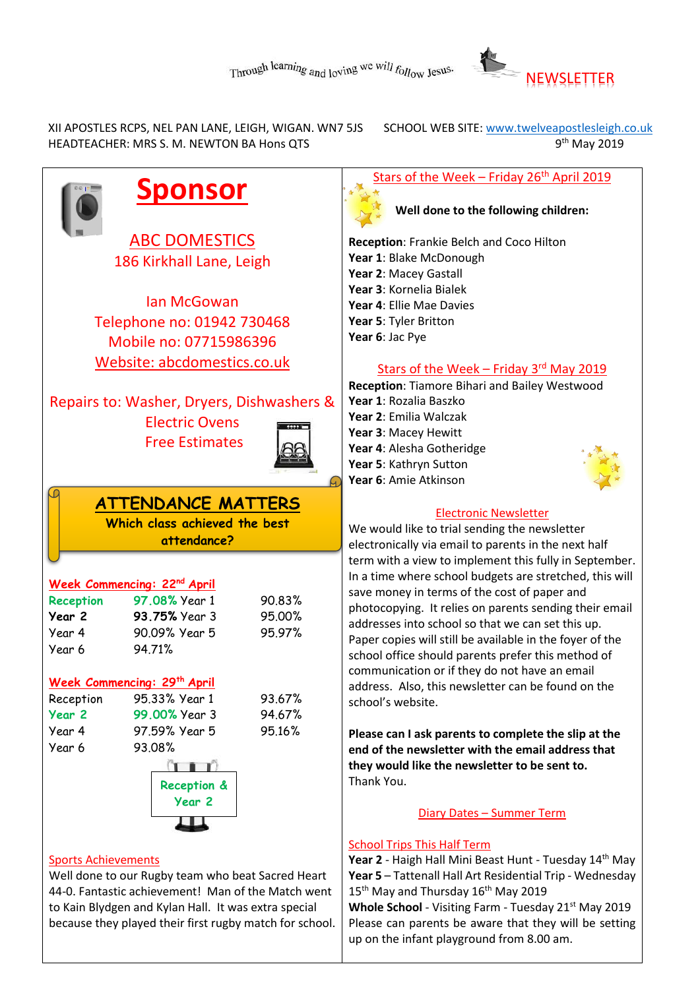

 XII APOSTLES RCPS, NEL PAN LANE, LEIGH, WIGAN. WN7 5JS SCHOOL WEB SITE[: www.twelveapostlesleigh.co.uk](http://www.twelveapostlesleigh.co.uk/)  HEADTEACHER: MRS S. M. NEWTON BA Hons QTS 9

9<sup>th</sup> May 2019

Stars of the Week – Friday 26<sup>th</sup> April 2019

**Well done to the following children:**

**Reception**: Frankie Belch and Coco Hilton **Year 1**: Blake McDonough **Year 2**: Macey Gastall **Year 3**: Kornelia Bialek **Year 4**: Ellie Mae Davies **Year 5**: Tyler Britton **Year 6**: Jac Pye

#### Stars of the Week - Friday 3rd May 2019

**Reception**: Tiamore Bihari and Bailey Westwood **Year 1**: Rozalia Baszko **Year 2**: Emilia Walczak **Year 3**: Macey Hewitt **Year 4**: Alesha Gotheridge **Year 5**: Kathryn Sutton **Year 6**: Amie Atkinson



### Electronic Newsletter

We would like to trial sending the newsletter electronically via email to parents in the next half term with a view to implement this fully in September. In a time where school budgets are stretched, this will save money in terms of the cost of paper and photocopying. It relies on parents sending their email addresses into school so that we can set this up. Paper copies will still be available in the foyer of the school office should parents prefer this method of communication or if they do not have an email address. Also, this newsletter can be found on the school's website.

**Please can I ask parents to complete the slip at the end of the newsletter with the email address that they would like the newsletter to be sent to.** Thank You.

#### Diary Dates – Summer Term

#### School Trips This Half Term

**Year 2** - Haigh Hall Mini Beast Hunt - Tuesday 14th May **Year 5** – Tattenall Hall Art Residential Trip - Wednesday 15<sup>th</sup> May and Thursday 16<sup>th</sup> May 2019 Whole School - Visiting Farm - Tuesday 21<sup>st</sup> May 2019 Please can parents be aware that they will be setting up on the infant playground from 8.00 am.

**Sponsor**

ABC DOMESTICS 186 Kirkhall Lane, Leigh

Ian McGowan Telephone no: 01942 730468 Mobile no: 07715986396 Website: abcdomestics.co.uk

Repairs to: Washer, Dryers, Dishwashers & Electric Ovens

Free Estimates



## **ATTENDANCE MATTERS**

**Which class achieved the best attendance?**

|                  | Week Commencing: 22nd April |        |
|------------------|-----------------------------|--------|
| <b>Reception</b> | 97.08% Year 1               | 90.83% |
| Year 2           | 93.75% Year 3               | 95.00% |
| Year 4           | 90.09% Year 5               | 95.97% |
| Year 6           | 94.71%                      |        |
|                  |                             |        |

#### **Week Commencing: 29th April**

| Reception | 95.33% Year 1 | 93.67% |
|-----------|---------------|--------|
| Year 2    | 99.00% Year 3 | 94.67% |
| Year 4    | 97.59% Year 5 | 95.16% |
| Year 6    | 93.08%        |        |
|           | $T$ $T$       |        |



#### Sports Achievements

Well done to our Rugby team who beat Sacred Heart 44-0. Fantastic achievement! Man of the Match went to Kain Blydgen and Kylan Hall. It was extra special because they played their first rugby match for school.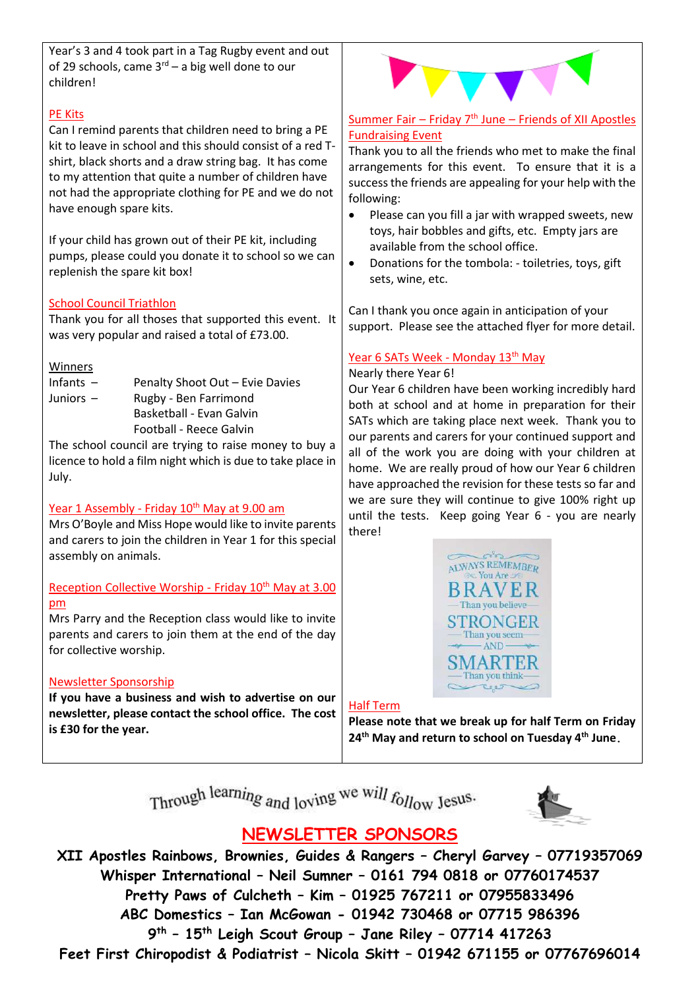Year's 3 and 4 took part in a Tag Rugby event and out of 29 schools, came  $3^{rd}$  – a big well done to our children!

#### PE Kits

Can I remind parents that children need to bring a PE kit to leave in school and this should consist of a red Tshirt, black shorts and a draw string bag. It has come to my attention that quite a number of children have not had the appropriate clothing for PE and we do not have enough spare kits.

If your child has grown out of their PE kit, including pumps, please could you donate it to school so we can replenish the spare kit box!

#### School Council Triathlon

Thank you for all thoses that supported this event. It was very popular and raised a total of £73.00.

#### **Winners**

- Infants Penalty Shoot Out Evie Davies Juniors – Rugby - Ben Farrimond Basketball - Evan Galvin
	- Football Reece Galvin

The school council are trying to raise money to buy a licence to hold a film night which is due to take place in July.

#### Year 1 Assembly - Friday 10<sup>th</sup> May at 9.00 am

Mrs O'Boyle and Miss Hope would like to invite parents and carers to join the children in Year 1 for this special assembly on animals.

#### Reception Collective Worship - Friday 10<sup>th</sup> May at 3.00 pm

Mrs Parry and the Reception class would like to invite parents and carers to join them at the end of the day for collective worship.

#### Newsletter Sponsorship

**If you have a business and wish to advertise on our newsletter, please contact the school office. The cost is £30 for the year.**

#### Summer Fair – Friday  $7<sup>th</sup>$  June – Friends of XII Apostles Fundraising Event

Thank you to all the friends who met to make the final arrangements for this event. To ensure that it is a success the friends are appealing for your help with the following:

- Please can you fill a jar with wrapped sweets, new toys, hair bobbles and gifts, etc. Empty jars are available from the school office.
- Donations for the tombola: toiletries, toys, gift sets, wine, etc.

Can I thank you once again in anticipation of your support. Please see the attached flyer for more detail.

#### Year 6 SATs Week - Monday 13<sup>th</sup> May

#### Nearly there Year 6!

Our Year 6 children have been working incredibly hard both at school and at home in preparation for their SATs which are taking place next week. Thank you to our parents and carers for your continued support and all of the work you are doing with your children at home. We are really proud of how our Year 6 children have approached the revision for these tests so far and we are sure they will continue to give 100% right up until the tests. Keep going Year 6 - you are nearly there!



#### Half Term

**Please note that we break up for half Term on Friday 24th May and return to school on Tuesday 4th June.**

Through learning and loving we will follow Jesus.



# **NEWSLETTER SPONSORS**

**XII Apostles Rainbows, Brownies, Guides & Rangers – Cheryl Garvey – 07719357069 Whisper International – Neil Sumner – 0161 794 0818 or 07760174537 Pretty Paws of Culcheth – Kim – 01925 767211 or 07955833496 ABC Domestics – Ian McGowan - 01942 730468 or 07715 986396 9 th – 15th Leigh Scout Group – Jane Riley – 07714 417263 Feet First Chiropodist & Podiatrist – Nicola Skitt – 01942 671155 or 07767696014**